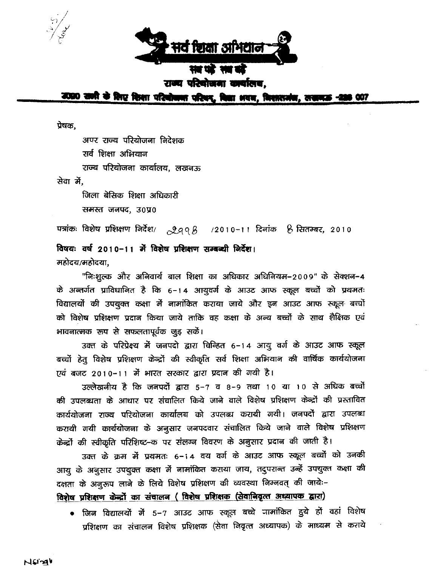

राज्य परिवोजना कार्यालय.

उठ्ठा सागी के लिए शिशा परियोजना परिवर, विश्वा अवन, निशाराजंब, तत्क्रम **007** 

प्रेषक,

अपर राज्य परियोजना निदेशक सर्व शिक्षा अभियान राज्य परियोजना कार्यालय, लखनऊ सेवा में,

जिला बेसिक शिक्षा अधिकारी समस्त जनपद, उ०प्र०

पत्रांकः विशेष प्रशिक्षण निर्देश/  $2998$  $/2010 - 11$  दिनांक  $/6$  सितम्बर, 2010

विषयः वर्ष 2010-11 में विशेष प्रशिक्षण सम्बन्धी निर्देश। महोदय/महोदया,

"निःशूल्क और अनिवार्य बाल शिक्षा का अधिकार अधिनियम–2009" के सेक्शन–4 के अन्तर्गत प्राविधानित है कि 6-14 आयुवर्ग के आउट आफ स्कूल बच्चों को प्रथमतः विद्यालयों की उपयुक्त कक्षा में नामांकित कराया जाये और इन आउट आफ स्कूल बच्चों को विशेष प्रशिक्षण प्रदान किया जाये ताकि वह कक्षा के अन्य बच्चों के साथ शैक्षिक एवं भावनात्मक रूप से सफलतापूर्वक जुड़ सकें।

उक्त के परिप्रेक्ष्य में जनपदो द्वारा चिन्हित 6-14 आयु वर्ग के आउट आफ स्कूल बच्चों हेतु विशेष प्रशिक्षण केन्द्रों की स्वीकृति सर्व शिक्षा अभियान की वार्षिक कार्ययोजना एवं बजट 2010–11 में भारत सरकार द्वारा प्रदान की गयी है।

उल्लेखनीय है कि जनपदों द्वारा 5-7 व 8-9 तथा 10 या 10 से अधिक बच्चों की उपलब्धता के आधार पर संचालित किये जाने वाले विशेष प्रशिक्षण केन्द्रों की प्रस्तावित कार्ययोजना राज्य परियोजना कार्यालय को उपलब्ध करायी गयी। जनपदों द्वारा उपलब्ध करायी गयी कार्ययोजना के अनुसार जनपदवार संचालित किये जाने वाले विशेष प्रशिक्षण केन्द्रों की स्वीकृति परिशिष्ट-क पर संलग्न विवरण के अनुसार प्रदान की जाती है।

उक्त के क्रम में प्रथमतः 6-14 वय वर्ग के आउट आफ स्कूल बच्चों को उनकी आयु के अनुसार उपयुक्त कक्षा में नामांकित कराया जाय, तदुपरान्त उन्हें उपयुक्त कक्षा की दक्षता के अनुरूप लाने के लिये विशेष प्रशिक्षण की व्यवस्था निम्नवत् की जाये:-विशेष प्रशिक्षण केन्द्रों का संचालन (विशेष प्रशिक्षक (सेवानिवृत्त अध्यापक द्वारा)

• जिन विद्यालयों में 5–7 आउट आफ स्कूल बच्चे जामांकित हुये हों वहां विशेष प्रशिक्षण का संचालन विशेष प्रशिक्षक (सेवा निवृत्त अध्यापक) के माध्यम से कराये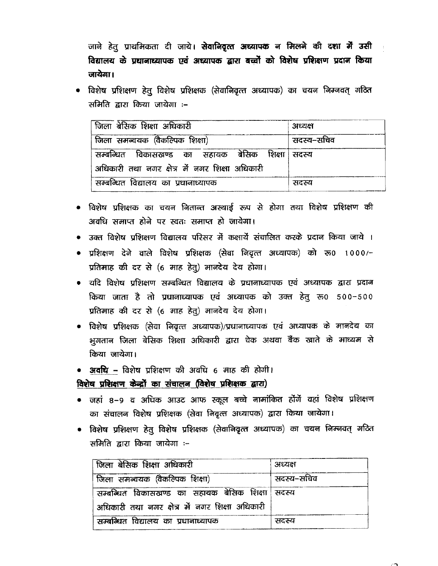जाने हेतु प्राथमिकता दी जाये। सेवानिवृत्त अध्यापक न मिलने की दशा में उसी विद्यालय के प्रधानाध्यापक एवं अध्यापक द्वारा बच्चों को विशेष प्रशिक्षण प्रदान किया जायेगा।

विशेष प्रशिक्षण हेतु विशेष प्रशिक्षक (सेवानिवृत्त अध्यापक) का चयन निम्नवत् गठित समिति द्वारा किया जायेगा :-

| िजिला बेरिनक शिक्षा अधिकारी                     | अध्यक्ष    |
|-------------------------------------------------|------------|
| जिला समन्वयक (वैकल्पिक शिक्षा)                  | सदस्य–सचिव |
| सम्बन्धित विकासखण्ड का सहायक बेसिक शिक्षा सदस्य |            |
| अधिकारी तथा नगर क्षेत्र में नगर शिक्षा अधिकारी  |            |
| सम्बन्धित विद्यालय का प्रधानाध्यापक             | सदस्य      |

- विशेष प्रशिक्षक का चयन नितान्त अस्थाई रूप से होगा तथा विशेष प्रशिक्षण की अवधि समाप्त होने पर स्वतः समाप्त हो जायेगा।
- उक्त विशेष प्रशिक्षण विद्यालय परिसर में कक्षायें संचालित करके प्रदान किया जाये ।
- प्रशिक्षण देने वाले विशेष प्रशिक्षक (सेवा निवृत्त अध्यापक) को रू0 1000/-प्रतिमाह की दर से (6 माह हेतु) मानदेय देय होगा।
- यदि विशेष प्रशिक्षण सम्बन्धित विद्यालय के प्रधानाध्यापक एवं अध्यापक द्वारा प्रदान किया जाता है तो प्रधानाध्यापक एवं अध्यापक को उक्त हेतू रू0 500-500 प्रतिमाह की दर से (6 माह हेतु) मानदेय देय होगा।
- विशेष प्रशिक्षक (सेवा निवृत्त अध्यापक)/प्रधानाध्यापक एवं अध्यापक के मानदेय का भूगतान जिला बेसिक शिक्षा अधिकारी द्वारा चेक अथवा बैंक खाते के माध्यम से किया जायेगा।
- अव**धि –** विशेष प्रशिक्षण की अवधि 6 माह की होगी।

विशेष प्रशिक्षण केन्द्रों का संचालन (विशेष प्रशिक्षक द्वारा)

- जहां ८–९ व अधिक आउट आफ स्कूल बच्चे नामांकित होंगें वहां विशेष प्रशिक्षण का संचालन विशेष प्रशिक्षक (सेवा निवृत्त अध्यापक) द्वारा किया जायेगा।
- विशेष प्रशिक्षण हेतु विशेष प्रशिक्षक (सेवानिवृत्त अध्यापक) का चयन निम्नवत् गठित समिति द्वारा किया जायेगा :-

| । जिला बेसिक शिक्षा अधिकारी                     | अध्यक्ष    |
|-------------------------------------------------|------------|
| किला समन्वयक (वैकल्पिक शिक्षा)                  | सदस्य–सचिव |
| सम्बन्धित विकासखण्ड का सहायक बेसिक शिक्षा सदस्य |            |
| अधिकारी तथा नगर क्षेत्र में नगर शिक्षा अधिकारी  |            |
| सम्बन्धित विद्यालय का प्रधानाध्यापक             | सदस्य      |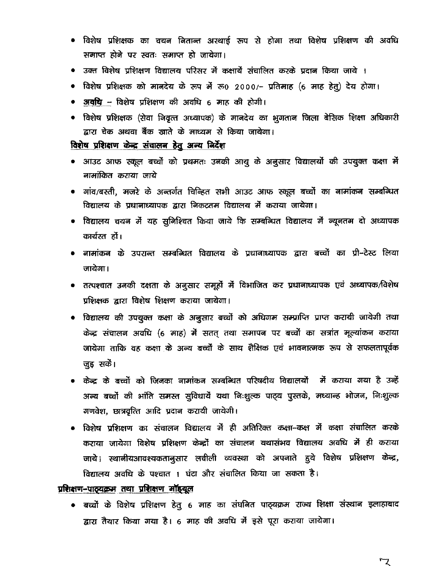- विशेष प्रशिक्षक का चयन नितान्त अस्थाई रूप से होगा तथा विशेष प्रशिक्षण की अवधि समाप्त होने पर स्वतः समाप्त हो जायेगा।
- उक्त विशेष प्रशिक्षण विद्यालय परिसर में कक्षायें संचालित करके प्रदान किया जाये ।
- विशेष प्रशिक्षक को मानदेय के रूप में रू0 2000/- प्रतिमाह (6 माह हेतु) देय होगा।
- अवृधि विशेष प्रशिक्षण की अवधि 6 माह की होगी।
- विशेष प्रशिक्षक (सेवा निवृत्त अध्यापक) के मानदेय का भुगतान जिला बेसिक शिक्षा अधिकारी द्वारा चेक अथवा बैंक खाते के माध्यम से किया जायेगा।

### विशेष प्रशिक्षण केन्द्र संचालन हेतु अन्य निर्देश

- आउट आफ स्कूल बच्चों को प्रथमतः उनकी आयु के अनुसार विद्यालयों की उपयुक्त कक्षा में नामांकित कराया जाये
- गांव/बस्ती, मजरे के अन्तर्गत चिन्हित सभी आउट आफ स्कूल बच्चों का नामांकन सम्बन्धित विद्यालय के प्रधानाध्यापक द्वारा निकटतम विद्यालय में कराया जायेगा।
- विद्यालय चयन में यह सुनिश्चित किया जाये कि सम्बन्धित विद्यालय में न्यूनतम दो अध्यापक कार्यरत हों।
- नामांकन के उपरान्त सम्बन्धित विद्यालय के प्रधानाध्यापक द्वारा बच्चों का प्री–टेस्ट लिया जाचेगा।
- तत्पश्चात उनकी दक्षता के अनुसार समूहों में विभाजित कर प्रधानाध्यापक एवं अध्यापक/विशेष प्रशिक्षक द्वारा विशेष शिक्षण कराया जायेगा।
- विद्यालय की उपयुक्त कक्षा के अनुसार बच्चों को अधिगम सम्प्राप्ति प्राप्त करायी जायेगी तथा केन्द्र संचालन अवधि (6 माह) में सतत् तथा समापन पर बच्चों का सत्रांत मूल्यांकन कराया जायेगा ताकि वह कक्षा के अन्य बच्चों के साथ शैक्षिक एवं भावनात्मक रूप से सफलतापूर्वक जुड़ सकें।
- केन्द्र के बच्चों को जिनका नामांकन सम्बन्धित परिषदीय विद्यालयों में कराया गया है उन्हें अन्य बच्चों की भांति समस्त सुविधायें यथा निःशुल्क पाठ्य पुस्तके, मध्यान्ह भोजन, निःशुल्क गणवेश, छात्रवृत्ति आदि प्रदान करायी जायेगी।
- विशेष प्रशिक्षण का संचालन विद्यालय में ही अतिरिक्त कक्षा-कक्ष में कक्षा संचालित करके कराया जायेगा विशेष प्रशिक्षण केन्द्रों का संचालन यथासंभव विद्यालय अवधि में ही कराया जाये। स्थानीयआवश्यकतानुसार लचीली व्यवस्था को अपनाते हुये विशेष प्रशिक्षण केन्द्र, विद्यालय अवधि के पश्चात । घंटा और संचालित किया जा सकता है।

### प्रशिक्षण-पाठ्यक्रम तथा प्रशिक्षण मॉइयूल

• बच्चों के विशेष प्रशिक्षण हेतु 6 माह का संघनित पाठ्यक्रम राज्य शिक्षा संस्थान इलाहाबाद द्वारा तैयार किया गया है। 6 माह की अवधि में इसे पूरा कराया जायेगा।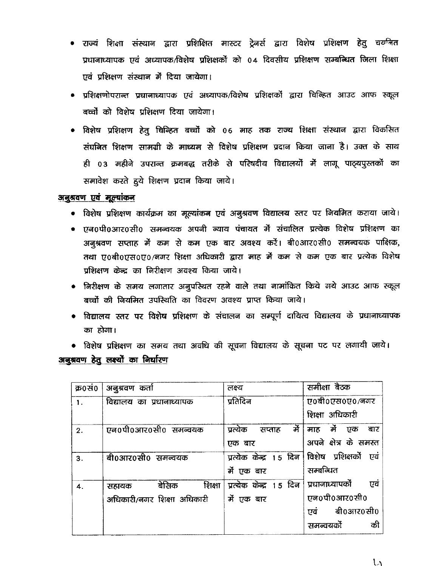- राज्यं शिक्षा संस्थान द्वारा प्रशिक्षित मास्टर ट्रेनर्स द्वारा विशेष प्रशिक्षण हेतु चर्य्ग्नत प्रधानाध्यापक एवं अध्यापक/विशेष प्रशिक्षकों को 04 दिवसीय प्रशिक्षण सम्बन्धित जिला शिक्षा एवं प्रशिक्षण संस्थान में दिया जायेगा।
- प्रशिक्षणोपरान्त प्रधानाध्यापक एवं अध्यापक/विशेष प्रशिक्षकों द्वारा चिन्हित आउट आफ स्कूल बच्चों को विशेष प्रशिक्षण दिया जायेगा।
- विशेष प्रशिक्षण हेतू चिव्हित बच्चों को ०६ माह तक राज्य शिक्षा संस्थान द्वारा विकसित संघनित शिक्षण सामग्री के माध्यम से विशेष प्रशिक्षण प्रदान किया जाना है। उक्त के साथ ही 03 महीने उपरान्त क्रमबद्ध तरीके से परिषदीय विद्यालयों में लागू पाठ्यपुस्तकों का समावेश करते हुये शिक्षण प्रदान किया जाये।

### अनुश्रवण एवं मूल्यांकन

- विशेष प्रशिक्षण कार्यक्रम का मूल्यांकन एवं अनुश्रवण विद्यालय स्तर पर नियमित कराया जाये।
- एन0पी0आर0सी0 समन्वयक अपनी न्याय पंचायत में संचालित प्रत्येक विशेष प्रशिक्षण का अनुश्रवण सप्ताह में कम से कम एक बार अवश्य करें। बी0आर0सी0 समन्वयक पाक्षिक, तथा ए0बी0एस0ए0/नगर शिक्षा अधिकारी द्वारा माह में कम से कम एक बार प्रत्येक विशेष प्रशिक्षण केन्द्र का निरीक्षण अवश्य किया जाये।
- निरीक्षण के समय लगातार अनुपस्थित रहने वाले तथा नामांकित किये गये आउट आफ स्कूल बच्चों की नियमित उपस्थिति का विवरण अवश्य प्राप्त किया जाये।
- विद्यालय स्तर पर विशेष प्रशिक्षण के संचालन का सम्पूर्ण दायित्व विद्यालय के प्रधानाध्यापक का होगा।
- विशेष प्रशिक्षण का समय तथा अवधि की सूचना विद्यालय के सूचना पट पर लगायी जाये। अबुश्रवण हेतु लक्ष्यों का <u>निर्घारण</u>

| क्र0सं0 | अनुश्रवण कर्ता             | लक्ष्य                     | समीक्षा बैठक             |  |  |
|---------|----------------------------|----------------------------|--------------------------|--|--|
| 1.      | विद्यालय का प्रधानाध्यापक  | प्रतिदिन                   | ए0बी0एस0ए0/नगर           |  |  |
|         |                            |                            | शिक्षा अधिकारी           |  |  |
| 2.      | एन0पी0आर0सी0 समन्वयक       | र्ने<br>सप्ताह<br>प्रत्येक | र्मे<br>एक<br>बार<br>माह |  |  |
|         |                            | एक बार                     | अपने क्षेत्र के समस्त    |  |  |
| 3.      | बी0आर0सी0 समन्वयक          | प्रत्येक केन्द्र 15 दिन    | विशेष प्रशिक्षकों एवं    |  |  |
|         |                            | र्मे एक बार                | सम्बन्धित                |  |  |
| 4.      | बेसिक<br>शिक्षा<br>सहायक   | प्रत्येक केन्द्र 15 दिन    | प्रधानाध्यापको<br>एव     |  |  |
|         | अधिकारी/नगर शिक्षा अधिकारी | र्मे एक बार                | एन0पी0आर0सी0             |  |  |
|         |                            |                            | बी0आर0सी0<br>एवं         |  |  |
|         |                            |                            | की<br>समन्वयको           |  |  |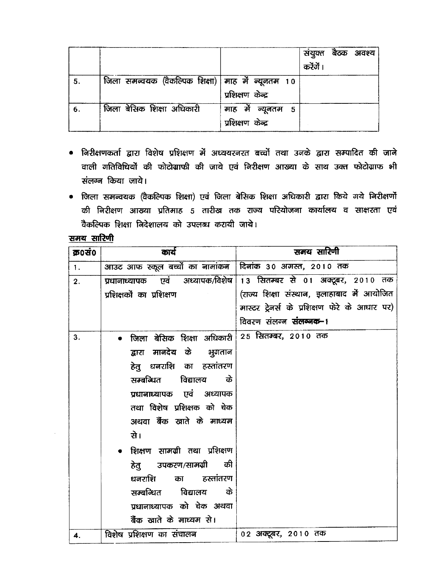|    |                                                     |                                        | संयुक्त बैठक अवश्य<br>करेंगें । |
|----|-----------------------------------------------------|----------------------------------------|---------------------------------|
| 5. | जिला समन्वयक (वैकल्पिक शिक्षा)   माह में न्यूनतम 10 | प्रशिक्षण केन्द्र                      |                                 |
| 6. | जिला बेसिक शिक्षा अधिकारी                           | माह में न्यूनतम 5<br>प्रशिक्षण केन्द्र |                                 |

- निरीक्षणकर्ता द्वारा विशेष प्रशिक्षण में अध्ययरनरत बच्चों तथा उनके द्वारा सम्पादित की जाने वाली गतिविधियों की फोटोग्राफी की जाये एवं निरीक्षण आख्या के साथ उक्त फोटोग्राफ भी संलग्न किया जाये।
- जिला समन्वयक (वैकल्पिक शिक्षा) एवं जिला बेसिक शिक्षा अधिकारी द्वारा किये गये निरीक्षणों की निरीक्षण आख्या प्रतिमाह 5 तारीख तक राज्य परियोजना कार्यालय व साक्षरता एवं वैकल्पिक शिक्षा निदेशालय को उपलब्ध करायी जाये।

## समय सारिणी

| क्र0सं0        | कार्य                                                   | समय सारिणी                                    |
|----------------|---------------------------------------------------------|-----------------------------------------------|
| $\mathbf{1}$ . | आउट आफ स्कूल बच्चों का नामांकन दिनांक 30 अगस्त, 2010 तक |                                               |
| 2.             | प्रधानाध्यापक एवं अध्यापक/विशेष                         | 13 सितम्बर से 01 अक्टूबर, 2010 तक             |
|                | प्रशिक्षकों का प्रशिक्षण                                | (राज्य शिक्षा संस्थान, इलाहाबाद में आयोजित    |
|                |                                                         | मास्टर ट्रेनर्स के प्रशिक्षण फेरे के आधार पर) |
|                |                                                         | विवरण संलग्न <b>संलग्नक-</b> ।                |
| 3.             | जिला बेसिक शिक्षा अधिकारी 25 सितम्बर, 2010 तक           |                                               |
|                | द्वारा मानदेय के भुगतान                                 |                                               |
|                | हेतु धनराशि का हस्तांतरण                                |                                               |
|                | सम्बन्धित विद्यालय<br>के                                |                                               |
|                | प्रधानाध्यापक एवं अध्यापक                               |                                               |
|                | तथा विशेष प्रशिक्षक को चेक                              |                                               |
|                | अथवा बैंक खाते के माध्यम                                |                                               |
|                | से।                                                     |                                               |
|                | • शिक्षण सामग्री तथा प्रशिक्षण                          |                                               |
|                | हेतु उपकरण/सामग्री की                                   |                                               |
|                | धनराशि<br>का हस्तांतरण                                  |                                               |
|                | सम्बन्धित विद्यालय<br>के                                |                                               |
|                | प्रधानाध्यापक को चेक अथवा                               |                                               |
|                | बैंक खाते के माध्यम से।                                 |                                               |
| 4.             | विशेष प्रशिक्षण का संचालन                               | 02 अक्टूबर, 2010 तक                           |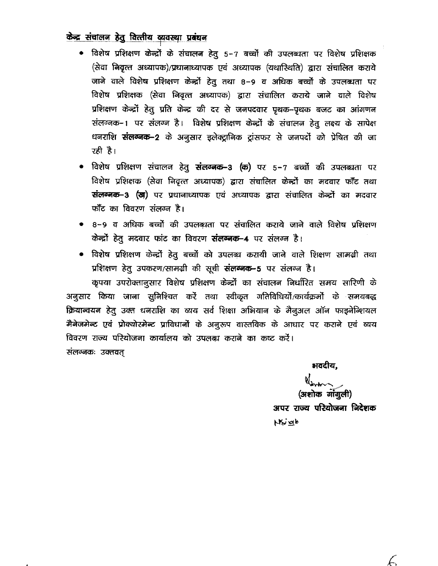## केन्द्र संचालन हेतु वित्तीय व्यवस्था प्रबंधन

- विशेष प्रशिक्षण केन्द्रों के संचालन हेतु 5-7 बच्चों की उपलब्धता पर विशेष प्रशिक्षक (सेवा निवृत्त अध्यापक)/प्रधानाध्यापक एवं अध्यापक (यथास्थिति) द्वारा संचालित कराये जाने वाले विशेष प्रशिक्षण केन्द्रों हेतु तथा 8-9 व अधिक बच्चों के उपलब्धता पर विशेष प्रशिक्षक (सेवा निवृत्त अध्यापक) द्वारा संचालित कराये जाने वाले विशेष प्रशिक्षण केन्द्रों हेतु प्रति केन्द्र की दर से जनपदवार पृथक-पृथक बजट का आंगणन संलग्नक-1 पर संलग्न है। विशेष प्रशिक्षण केन्द्रों के संचालन हेतू लक्ष्य के सापेक्ष धनराशि संलग्नक-2 के अनुसार इलेक्ट्रानिक ट्रांसफर से जनपदों को प्रेषित की जा रही है।
- विशेष प्रशिक्षण संचालन हेतु संलग्नक-3 (क) पर 5-7 बच्चों की उपलब्धता पर विशेष प्रशिक्षक (सेवा निवृत्त अध्यापक) द्वारा संचालित केन्द्रों का मदवार फॉॅंट तथा संलग्नक-3 (ख) पर प्रधानाध्यापक एवं अध्यापक द्वारा संचालित केन्द्रों का मदवार फॉॅंट का विवरण संलग्न है।
- 8–9 व अधिक बच्चों की उपलब्धता पर संचालित कराये जाने वाले विशेष प्रशिक्षण केन्द्रों हेतु मदवार फांट का विवरण संलग्नक-4 पर संलग्न है।
- विशेष प्रशिक्षण केन्द्रों हेतु बच्चों को उपलब्ध करायी जाने वाले शिक्षण सामग्री तथा  $\bullet$ प्रशिक्षण हेतु उपकरण/सामग्री की सूची संलग्नक-5 पर संलग्न है।

कृपया उपरोक्तानुसार विशेष प्रशिक्षण केन्द्रों का संचालन निर्धारित समय सारिणी के अनुसार किया जाना सुनिश्चित करें तथा स्वीकृत गतिविधियों/कार्यक्रमों के समयबद्ध क्रियान्वयन हेतु उक्त धनराशि का व्यय सर्व शिक्षा अभियान के मैनुअल ऑन फाइनेन्शियल मैनेजमेन्ट एवं प्रोक्योरमेन्ट प्राविधानों के अनूरूप वास्तविक के आधार पर कराने एवं व्यय विवरण राज्य परियोजना कार्यालय को उपलब्ध कराने का कष्ट करें। संलग्नकः उक्तवत्

भवदीय,

(अशोक गाँगूली) अपर राज्य परियोजना निदेशक Noigh

E,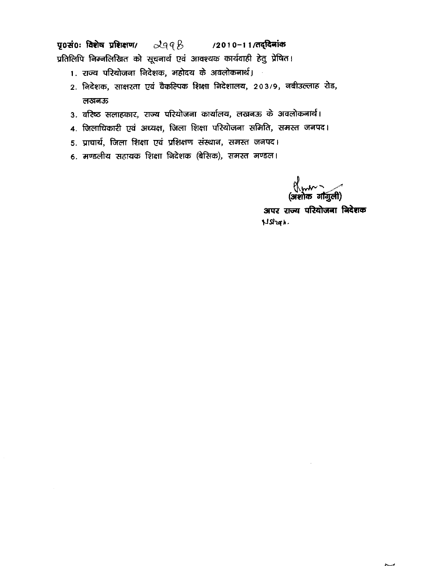पृ0सं0ः विशेष प्रशिक्षण/  $2948$  /2010-11/तद्दिनांक प्रतिलिपि निम्नलिखित को सूचनार्थ एवं आवश्यक कार्यवाही हेतु प्रेषित।

- 1. राज्य परियोजना निदेशक, महोदय के अवलोकनार्थ।
- 2. निदेशक, साक्षरता एवं वैकल्पिक शिक्षा निदेशालय, 203/9, नबीउल्लाह रोड, लखनऊ
- 3. वरिष्ठ सलाहकार, राज्य परियोजना कार्यालय, लखनऊ के अवलोकनार्थ।
- 4. जिलाधिकारी एवं अध्यक्ष, जिला शिक्षा परियोजना समिति, समस्त जनपद।
- 5. प्राचार्य, जिला शिक्षा एवं प्रशिक्षण संस्थान, समस्त जनपद।
- 6. मण्डलीय सहायक शिक्षा निदेशक (बेसिक), समस्त मण्डल।

ू<br>(अशोक गौगुली)

अपर राज्य परियोजना निदेशक NStrah.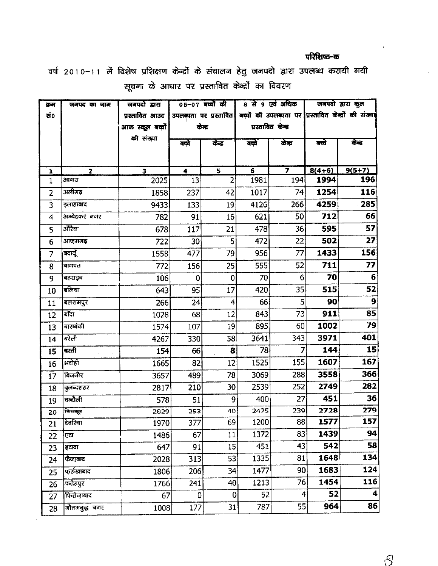### परिशिष्ट-क

वर्ष 2010–11 में विशेष प्रशिक्षण केन्द्रों के संचालन हेतु जनपदो द्वारा उपलब्ध करायी गयी सूचना के आधार पर प्रस्तावित केन्द्रों का विवरण

| क्रम                | जनपद का नाम            | जनपदो द्वारा                    |                                        | 05-07 बच्चों की                           |                    | 8 से 9 एवं अधिक |                                                      | जनपदो द्वारा कुल |  |
|---------------------|------------------------|---------------------------------|----------------------------------------|-------------------------------------------|--------------------|-----------------|------------------------------------------------------|------------------|--|
| ਦਾਂ0                |                        | प्रस्तावित आउट                  | उपलब्धता पर प्रस्तावित                 |                                           |                    |                 | बच्चों की उपलब्धता पर प्रस्तावित केन्द्रों की संख्या |                  |  |
|                     |                        | आफ स्कूल बच्चों                 | केन्द्र                                |                                           | प्रस्तावित केन्द्र |                 |                                                      |                  |  |
|                     |                        | की संख्या                       | बच्चे                                  | केन्द्र                                   | बक्ने              | केंद्र          | बच्चे                                                | केन्द्र          |  |
|                     |                        |                                 |                                        |                                           |                    |                 |                                                      |                  |  |
|                     |                        |                                 |                                        |                                           |                    |                 |                                                      |                  |  |
| $\mathbf{1}$<br>1   | $\overline{2}$<br>आगरा | $\overline{\mathbf{3}}$<br>2025 | $\ddot{\mathbf{4}}$<br>13 <sup>1</sup> | $\overline{\mathbf{5}}$<br>$\overline{2}$ | 6<br>1981          | 194             | $8(4+6)$<br>1994                                     | $9(5+7)$<br>196  |  |
| $\overline{2}$      | अलीगढ़                 | 1858                            | 237                                    | 42                                        | 1017               | 74              | 1254                                                 | 116              |  |
| 3                   | इलाहाबाद               | 9433                            | 133                                    | 19                                        | 4126               | 266             | 4259                                                 | 285              |  |
| 4                   | .<br>अम्बेडकर नगर      | 782                             | 91                                     | 16                                        | 621                | 50              | 712                                                  | 66               |  |
| 5                   | ऒरैया                  | 678                             | 117                                    | 21                                        | 478                | 36 <sup>2</sup> | 595                                                  | 57               |  |
|                     | आजमगढ़                 | 722                             | 30                                     | 5 <sup>1</sup>                            | 472                | 22              | 502                                                  | 27               |  |
| 6<br>$\overline{7}$ | बदायूँ                 | 1558                            | 477                                    | 79                                        | 956                | 77              | 1433                                                 | 156              |  |
|                     | बागपत                  |                                 |                                        |                                           | 555                | 52              | 711                                                  | 77               |  |
| 8                   |                        | 772                             | 156                                    | 25                                        | 70                 | $6 \mid$        | 70                                                   | $6\phantom{1}6$  |  |
| 9                   | बहराइच<br>बलिया        | 106                             | $\boldsymbol{0}$                       | 0                                         |                    |                 | 515                                                  | 52               |  |
| 10                  |                        | 643                             | 95                                     | 17                                        | 420                | 35              |                                                      | 9                |  |
| 11                  | बलरामपुर               | 266                             | 24                                     | 4                                         | 66                 | 5 <sup>1</sup>  | 90                                                   |                  |  |
| 12                  | बाँदा                  | 1028                            | 68                                     | 12                                        | 843                | 73              | 911                                                  | 85               |  |
| 13                  | बाराबंकी               | 1574                            | 107                                    | 19                                        | 895                | 60              | 1002                                                 | 79               |  |
| 14                  | बरेली                  | 4267                            | 330                                    | 58                                        | 3641               | 343             | 3971                                                 | 401              |  |
| 15                  | बस्ती                  | 154                             | 66                                     | 8                                         | 78                 | 7               | 144                                                  | 15               |  |
| 16                  | भदोही                  | 1665                            | 82                                     | 12                                        | 1525               | 155             | 1607                                                 | 167              |  |
| 17                  | बिजनौर                 | 3657                            | 489                                    | 78                                        | 3069               | 288             | 3558                                                 | 366              |  |
| 18                  | बुलन्दशहर              | 2817                            | 210                                    | 30                                        | 2539               | 252             | 2749                                                 | 282              |  |
| 19                  | चन्दौली                | 578                             | 51                                     | 9                                         | 400                | 27              | 451                                                  | 36               |  |
| 20                  | क्रिक्ट                | 2029                            | 253                                    | 40                                        | 2475               | 239             | 2728                                                 | 279              |  |
| 21                  | दिवरिया                | 1970                            | 377                                    | 691                                       | 1200               | 88              | 1577                                                 | 157              |  |
| 22                  | एटा                    | 1486                            | 67                                     | 11                                        | 1372               | 83              | 1439                                                 | 94               |  |
| 23                  | इटावा                  | 647                             | 91                                     | 15                                        | 451                | 43              | 542                                                  | 58               |  |
| 24                  | फेजाबाद                | 2028                            | 313                                    | 53                                        | 1335               | 81              | 1648                                                 | 134              |  |
| 25                  | फर्रुखाबाद             | 1806                            | 206                                    | 34                                        | 1477               | 90              | 1683                                                 | 124              |  |
| 26                  | फ्तेहपुर               | 1766                            | 241                                    | 40                                        | 1213               | 76              | 1454                                                 | 116              |  |
| 27                  | फिरोजाबाद              | 67                              | $\mathbf 0$                            | 0                                         | 52                 | 4               | 52                                                   | 4                |  |
| 28                  | गौतमबुद्ध नगर          | 1008                            | 177                                    | 31                                        | 787                | 55              | 964                                                  | 86               |  |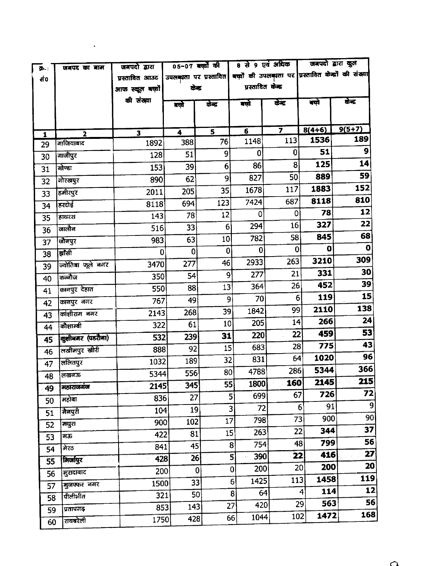| ው.:          | जबपद का बाम             | जनपदो द्वारा            | 05-07 बच्चों की |                                                                              |                                 | 8 से 9 एवं अधिक                | जनपदो द्वारा कुल       |                 |
|--------------|-------------------------|-------------------------|-----------------|------------------------------------------------------------------------------|---------------------------------|--------------------------------|------------------------|-----------------|
| đ٥           |                         | प्रस्तावित आउट          |                 | उपलङ्गता पर प्रस्तावित  बच्चों की उपलङ्गता पर प्रस्तावित केन्द्रों की संख्या |                                 |                                |                        |                 |
|              |                         | आफ स्कूल बच्चों         | केन्द्र         |                                                                              | प्रस्तावित केन्द्र              |                                |                        |                 |
|              |                         | की संख्या               | बले             | केन्द्र                                                                      | बले                             | केंद्र                         | बच्चे                  | ळेड             |
|              |                         |                         |                 |                                                                              |                                 |                                |                        |                 |
|              |                         |                         |                 |                                                                              |                                 |                                |                        | $9(5+7)$        |
| $\mathbf{1}$ | $\overline{\mathbf{2}}$ | $\overline{\mathbf{3}}$ | 4               | 5<br>76                                                                      | $\overline{\mathbf{6}}$<br>1148 | $\overline{\mathbf{z}}$<br>113 | $8(4+6)$<br>1536       | 189             |
| 29           | गाजियाबाद               | 1892                    | 388             | 9 <sup>1</sup>                                                               | 0                               | $\bf{0}$                       | 51                     | 9               |
| 30           | गाजीपुर                 | 128                     | 51              |                                                                              | 86                              | 8                              | 125                    | 14              |
| 31           | गोण्डा                  | 153                     | 39              | $6 \overline{6}$<br>9                                                        | 827                             | 50                             | 889                    | 59              |
| 32           | गोरखपुर                 | 890                     | 62              |                                                                              | 1678                            | 117                            | 1883                   | 152             |
| 33           | हमीरपुर                 | 2011                    | 205             | 35                                                                           | 7424                            | 687                            | 8118                   | 810             |
| 34           | हरदोई                   | 8118                    | 694             | 123                                                                          | 0                               | 0                              | 78                     | 12              |
| 35           | हाथरस                   | 143                     | 78              | 12                                                                           | 294                             | 16                             | 327                    | 22              |
| 36           | जालौन                   | 516                     | 33              | 6 <sup>1</sup>                                                               | 782                             | 58                             | 845                    | 68              |
| 37           | जौनपुर                  | 983                     | 63              | 10 <sub>1</sub>                                                              |                                 | 0                              | 0                      | $\mathbf 0$     |
| 38           | ब्रॉसी                  | 0                       | $\mathbf 0$     | $\pmb{0}$                                                                    | 0                               | 263                            | 3210                   | 309             |
| 39           | ज्योतिबा फूले नगर       | 3470                    | 277             | 46                                                                           | 2933                            | 21                             | 331                    | 30              |
| 40           | कब्जौज                  | 350                     | 54              | 9                                                                            | 277                             |                                | 452                    | 39              |
| 41           | कानपुर देहात            | 550                     | 88              | 13                                                                           | 364                             | 26                             | 119                    | 15              |
| 42           | कानपुर नगर              | 767                     | 49              | 9                                                                            | 70                              | 6                              | 2110                   | 138             |
| 43           | कांशीराम नगर            | 2143                    | 268             | 39                                                                           | 1842                            | 99                             | 266                    | 24              |
| 44           | कोशाम्बी                | 322                     | 61              | 10                                                                           | 205                             | 14                             |                        | 53              |
| 45           | कुशीबमर (पडरोमा)        | 532                     | 239             | 31                                                                           | 220                             | 22                             | 459                    | 43              |
| 46           | लखीमपुर खीरी            | 888                     | 92              | 15                                                                           | 683                             | 28                             | 775                    | 96              |
| 47           | ललितपुर                 | 1032                    | 189             | 32                                                                           | 831                             | 64                             | 1020                   | 366             |
| 48           | लखनऊ                    | 5344                    | 556             | 80                                                                           | 4788                            | 286                            | 5344                   | 215             |
| 49           | महाराजगंज               | 2145                    | 345             | 55                                                                           | 1800                            | 160                            | 2145                   | 72              |
| 50           | महोबा                   | 836                     | 27              |                                                                              | 699<br>5                        | 67                             | 726                    | $\overline{9}$  |
| 51           | मैनपुरी                 | 104                     | 19              |                                                                              | 72<br>3                         |                                | 91<br>$6^{\circ}$      | 90 <sub>1</sub> |
| 52           | मथुरा                   | 900                     | 102             | 17                                                                           | 798                             |                                | 900<br>73              | 37              |
| 53           | मऊ                      | 422                     | 81              | 15                                                                           | 263                             |                                | 344<br>22              |                 |
| 54           | मेरठ                    | 841                     | 45              |                                                                              | 754<br>$\mathbf{8}$             |                                | 799<br>48              | 56              |
| 55           | मिर्जापुर               | 428                     | 26              |                                                                              | 390<br>5                        |                                | 416<br>22              | 27              |
| 56           | मुरादाबाद               | 200                     | $\bf{0}$        |                                                                              | 200<br> 0                       |                                | 200<br>20 <sup>1</sup> | 20              |
| 57           | मुजफ्फर नगर             | 1500                    | 33              |                                                                              | 1425<br>6                       | 113                            | 1458                   | 119             |
| 58           | पीलीभीत                 | 321                     | 50              |                                                                              | 8                               | 64                             | 114<br>$\overline{4}$  | 12              |
| 59           | प्रतापगढ़               | 853                     | 143             |                                                                              | 420<br>27                       |                                | 563<br>29              | 56              |
| 60           | रायबरेली                | 1750                    | 428             |                                                                              | 1044<br>66                      |                                | 1472<br>102            | 168             |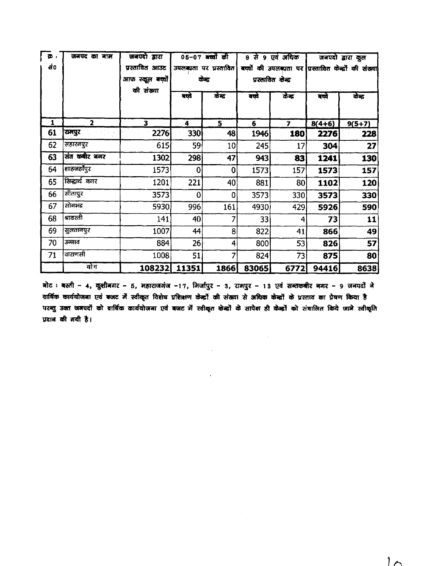| <b>D</b> ,<br>-ਰੰ0 | जनपद का नाम   | जबपदो द्वारा<br>प्रस्तावित आउट<br>आफ स्कूल बच्चों <br>की संख्या |       | 05-07 बक्यों की<br>उपलब्धता पर प्रस्तावित<br>केन्द्र | 8 से  | ९ एवं अधिक<br>प्रस्तावित केन्द्र | जनपदो द्वारा कुल<br>बच्चों की उपलब्धता पर ग्रिस्तावित केन्द्रों की संख्या |          |  |
|--------------------|---------------|-----------------------------------------------------------------|-------|------------------------------------------------------|-------|----------------------------------|---------------------------------------------------------------------------|----------|--|
|                    |               |                                                                 | बच्चे | केंद्र                                               | बक्ने | केन्द्र                          | बक्ये                                                                     | रुद्ध    |  |
| 1                  | $\mathbf{2}$  | 3                                                               | 4     | 5.                                                   | 6     | $\overline{ }$                   | $8(4+6)$                                                                  | $9(5+7)$ |  |
| 61                 | रामपुर        | 2276                                                            | 330   | 48                                                   | 1946  | 180                              | 2276                                                                      | 228      |  |
| 62                 | सहारनपुर      | 615                                                             | 59    | 10                                                   | 245   | 17                               | 304                                                                       | 27       |  |
| 63                 | संत कबीर बगर  | 1302                                                            | 298   | 47                                                   | 943   | 83                               | 1241                                                                      | 130      |  |
| 64                 | शाहजहाँपुर    | 1573                                                            | 0     | $\mathbf{0}$                                         | 1573  | 157                              | 1573                                                                      | 157      |  |
| 65                 | सिद्धार्थ नगर | 1201                                                            | 221   | 40                                                   | 881   | 80                               | 1102                                                                      | 120      |  |
| 66                 | सीतापुर       | 3573                                                            | 0     | 0                                                    | 3573  | 330                              | 3573                                                                      | 330      |  |
| 67                 | सोनभद्र       | 5930                                                            | 996   | 161                                                  | 4930  | 429                              | 5926                                                                      | 590      |  |
| 68                 | श्रावस्ती     | 141                                                             | 40    | 7                                                    | 33    | 4                                | 73                                                                        | 11       |  |
| 69                 | सुलतानपुर     | 1007                                                            | 44    | 8                                                    | 822   | 41                               | 866                                                                       | 49       |  |
| 70                 | उन्नाव        | 884                                                             | 26    | 4                                                    | 800   | 53                               | 826                                                                       | 57       |  |
| 71                 | वाराणसी       | 1008                                                            | 51    | 7                                                    | 824   | 73                               | 875                                                                       | 80       |  |
|                    | योग           | 108232 11351                                                    |       | 1866                                                 | 83065 | 6772                             | 94416                                                                     | 8638     |  |

बोट : बस्ती - 4, खुशीनगर - 5, महाराजगंज -17, मिर्जापुर - 3, रामपुर - 13 एवं सन्तकबीर नगर - 9 जनपर्दों ने वार्षिक कार्ययोजना एवं बजट में स्वीकृत विशेष प्रशिक्षण केन्द्रों की संख्या से अधिक केन्द्रों के प्रस्ताव का प्रेषण किया है परब्तु उक्त जबपदों को वार्षिक कार्ययोजना एवं बजट में स्वीकृत केन्द्रों के सापेक्ष ही केन्द्रों को संचालित किये जाने स्वीकृति प्रदान की गयी है।

 $\mathcal{L}_{\mathcal{A}}$ 

 $\mathbf{v}$ 

 $\sim 10^{-1}$ 

 $\sim 10^7$ 

 $1<sub>0</sub>$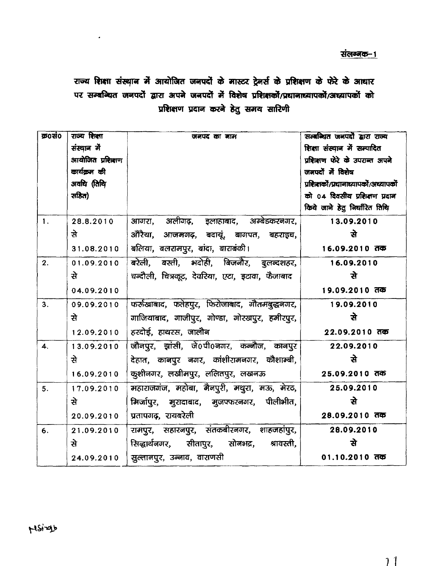# राज्य शिक्षा संस्थान में आयोजित जनपदों के मास्टर ट्रेनर्स के प्रशिक्षण के फेरे के आधार पर सम्बन्धित जनपदों द्वारा अपने जनपदों में विशेष प्रशिक्षकों/प्रधानाध्यापकों/अध्यापकों को प्रशिक्षण प्रदान करने हेतु समय सारिणी

| <b>क्र0सं0</b>            | राज्य शिक्षा     | जनपद का नाम                                     | सम्बन्धित जनपदों द्वारा राज्य         |
|---------------------------|------------------|-------------------------------------------------|---------------------------------------|
|                           | संस्थान मे       |                                                 | शिक्षा संस्थान में सम्पादित           |
|                           | आयोजित प्रशिक्षण |                                                 | प्रशिक्षण फेरे के उपराब्त अपने        |
|                           | कार्यक्रम की     |                                                 | जनपदों में विशेष                      |
|                           | अवधि (तिथि       |                                                 | प्रशिक्षकों/प्रधानाध्यापकों/अध्यापकों |
|                           | सहित)            |                                                 | को ०४ दिवसीय प्रशिक्षण प्रदान         |
|                           |                  |                                                 | किये जाने हेतु निर्धारित तिथि         |
| $\mathbf{1}$ .            | 28.8.2010        | आगरा, अलीगढ़, इलाहाबाद, अम्बेडकरनगर,            | 13.09.2010                            |
|                           | ੜੇ               | औरैया, आजमगढ़, बदायूं, बागपत, बहराइच,           | से                                    |
|                           | 31.08.2010       | बलिया, बलरामपुर, बांदा, बाराबंकी।               | 16.09.2010 तक                         |
| 2.                        | 01.09.2010       | बरेली, बस्ती, भदोही, बिजनौर, बुलन्दशहर,         | 16.09.2010                            |
|                           | से               | चन्दौली, चित्रकूट, देवरिया, एटा, इटावा, फैजाबाद | से                                    |
|                           | 04.09.2010       |                                                 | 19.09.2010 तक                         |
| 3.                        | 09.09.2010       | फर्रुखाबाद, फतेहपुर, फिरोजाबाद, गौतमबुद्धनगर,   | 19.09.2010                            |
|                           | से               | गाजियाबाद, गाजीपुर, गोण्डा, गोरखपुर, हमीरपुर,   | ੜੇ                                    |
|                           | 12.09.2010       | हरदोई, हाथरस, जालौन                             | 22.09.2010 तक                         |
| $\overline{\mathbf{4}}$ . | 13.09.2010       | जौनपुर, झांसी, जे0पी0नगर, कन्नौज, कानपुर        | 22.09.2010                            |
|                           | से               | देहात, कानपुर नगर, कांशीरामनगर, कौशाम्बी,       | ਬੇ                                    |
|                           | 16.09.2010       | कुशीनगर, लखीमपुर, ललितपुर, लखनऊ                 | 25.09.2010 तक                         |
| 5.                        | 17.09.2010       | महाराजगंज, महोबा, मैनपुरी, मथुरा, मऊ, मेरठ,     | 25.09.2010                            |
|                           | से               | मिर्जापुर, मुरादाबाद, मुजफ्फरनगर, पीलीभीत,      | से                                    |
|                           | 20.09.2010       | प्रतापगढ़, रायबरेली                             | 28.09.2010 तक                         |
| 6.                        | 21.09.2010       | रामपुर, सहारनपुर, संतकबीरनगर, शाहजहांपुर,       | 28.09.2010                            |
|                           | से               | सिद्धार्थनगर, सीतापुर, सोनभद्र, श्रावस्ती,      | से                                    |
|                           | 24.09.2010       | सुल्तानपुर, उन्नाव, वाराणसी                     | 01.10.2010 तक                         |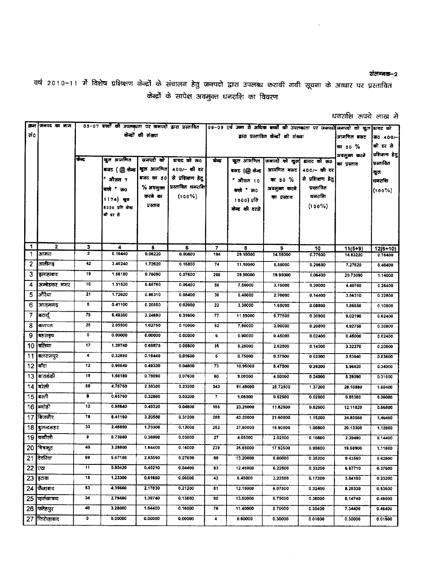#### संलग्नक-2

वर्ष २०१०-११ में विशेष प्रशिक्षण केन्द्रों के संचालन हेतु जनपदो द्वारा उपलब्ध करायी गयी सूचना के आधार पर प्रस्तावित केन्द्रों के सापेक्ष अवमुक्त धनराशि का विवरण

### धनराशि रूपये लाख मे

|     | क्रम जिनपद का नाम |                         | 05-07 बच्चों की उपलब्धता पर जनपदो द्वारा प्रस्तावित |             |                   |         | 08-09 एवं उक्त से अधिक बच्चों की उपलब्धता पर जनपदों जनपदों को कुल |                          |                   |              | डावट को      |
|-----|-------------------|-------------------------|-----------------------------------------------------|-------------|-------------------|---------|-------------------------------------------------------------------|--------------------------|-------------------|--------------|--------------|
| ਲ 0 |                   | केन्द्रों की संख्या     |                                                     |             |                   |         | द्वारा प्रस्तावित केन्द्रों की संख्या                             |                          | आगणित बजट         | रू० 400/-    |              |
|     |                   |                         |                                                     |             |                   |         |                                                                   |                          |                   | का 50 %      | की दर से     |
|     |                   |                         |                                                     |             |                   |         |                                                                   |                          |                   | अवमुक्त करने | प्रशिशण हेतु |
|     |                   | केन्द्र                 | कुल आगणित                                           | जनपदो को    | डायट को ऊ०        | केन्द्र |                                                                   | कुल आगणित जिनपदों को कुल | डायट को ऊ०        | का प्रस्ताव  | प्रस्तावित   |
|     |                   |                         | बजट (@ केन्द्र   खुल आजणित                          |             | 400/- की दर       |         | बजट (@ केन्द्र                                                    | आगणित बजट                | 400/- की दर       |              | कुल          |
|     |                   |                         | औसत 7                                               | बजट का 50   | से प्रशिक्षण हेतु |         | ै औसत 10                                                          | का 50 %                  | से प्रशिक्षण हेतु |              | धनराशि       |
|     |                   |                         | बक्ने " रू०                                         | $%$ अवमुक्त | प्रस्तावित धनराशि |         | बळे क0                                                            | अवमुक्त करने             | प्रस्तावित        |              | $(100\%)$    |
|     |                   |                         | 1174) agor                                          | करने का     | $(100\%)$         |         | 1500) प्रति                                                       | का प्रस्ताव              | धनराशि            |              |              |
|     |                   |                         | 8220 प्रति केन्द्र                                  | प्रस्ताव    |                   |         | केन्द्र की दरसे                                                   |                          | $(100\%)$         |              |              |
|     |                   |                         | बीदर से                                             |             |                   |         |                                                                   |                          |                   |              |              |
|     |                   |                         |                                                     |             |                   |         |                                                                   |                          |                   |              |              |
|     |                   |                         |                                                     |             |                   |         |                                                                   |                          |                   |              |              |
| 1   | $\mathbf{2}$      | 3                       | 4                                                   | 5           | 6                 | 7       | 8                                                                 | 9                        | 10                | $11(5+9)$    | $12(6+10)$   |
| 1   | आगरा              | $\overline{\mathbf{z}}$ | 0.16440                                             | 0.08220     | 0.00800           | 194     | 29.10000                                                          | 14.55000                 | 0.77600           | 14.63220     | 0.78400      |
| 2   | अलीगढ             | 42                      | 3.45240                                             | 1.72620     | 0.16800           | 74      | 11.10000                                                          | 5.55000                  | 0.29600           | 7.27620      | 0.46400      |
| 3   | इलाहाबाद          | 19                      | 1.56180                                             | 0.78090     | 0.07600           | 266     | 39.90000                                                          | 19.95000                 | 1.06400           | 20.73090     | 1.14000      |
| 4   | अम्बेडकर नगर      | 16                      | 1.31520                                             | 0.65760     | 0.06400           | 50      | 7.50000                                                           | 3.75000                  | 0.20000           | 4.40760      | 0.26400      |
| 5   | औरेया             | 21                      | 1.72620                                             | 0.86310     | 0.08400           | 36      | 5.40000                                                           | 2.70000                  | 0.14400           | 3.56310      | 0.22600      |
| 6   | आजमगढ             | 5                       | 0.41100                                             | 0.20550     | 0.02000           | 22      | 3.30000                                                           | 1.65000                  | 0.08800           | 1.85550      | 0.10800      |
| 7   | बदायूँ            | 79                      | 6.49380                                             | 3.24690     | 0.31600           | 77      | 11.55000                                                          | 5.77500                  | 0.30800           | 9.02190      | 0.62400      |
| 8   | बागपत             | 25                      | 2.05500                                             | 1.02750     | 0.10000           | 52      | 7.80000                                                           | 3.90000                  | 0.20800           | 4.92750      | 0.30800      |
| 9   | बहराहच            | 0                       | 0.00000                                             | 0.00000     | 0.00000           | 6       | 0.90000                                                           | 0.45000                  | 0.02400           | 0.45000      | 0.02400      |
| 10  | बलिया             | 17                      | 1.39740                                             | 0.69870     | 0.06800           | 35      | 5.25000                                                           | 2.62500                  | 0.14000           | 3.32370      | 0.20800      |
| 11  | बलरामपुर          | 4                       | 0.32880                                             | 0.16440     | 0.01600           | 5       | 0.75000                                                           | 0.37500                  | 0.02000           | 0.53940      | 0.03600      |
| 12  | बाँदा             | 12                      | 0.98640                                             | 0.49320     | 0.04800           | 73      | 10.95000                                                          | 5.47500                  | 0.29200           | 5.96820      | 0.34000      |
| 13. | । बाराबकी         | 19                      | 1.56180                                             | 0.78090     | 0.07600           | 60      | 9.00000                                                           | 4.50000                  | 0.24000           | 5.28090      | 0.31600      |
|     | 14 किटेली         | 58                      | 4.76760                                             | 2.38380     | 0.23200           | 343     | 51.45000                                                          | 25.72500                 | 1.37200           | 28.10880     | 1.60400      |
|     | 15  बस्ती         | 8                       | 0.65760                                             | 0.32880     | 0.03200           | 7       | 1.05000                                                           | 0.52500                  | 0.02800           | 0.85380      | 0.06000      |
|     | 16   भदोही        | 12                      | 0.98640                                             | 0.49320     | 0.04800           | 155     | 23.25000                                                          | 11.62500                 | 0.62000           | 12.11820     | 0.66800      |
|     | 17 बिजनौर         | 78                      | 6.41150                                             | 3.20580     | 0.31200           | 288     | 43.20000                                                          | 21.60000                 | 1.15200           | 24.80580     | 1.46400      |
|     | 18 बुलन्दशहर      | 30                      | 2.46600                                             | 1.23300     | 0.12000           | 252     | 37.80000                                                          | 18.90000                 | 1.00800           | 20.13300     | 1.12800      |
|     | 19 क्लोली         | 9                       | 0.73980                                             | 0.36990     | 0.03600           | 27      | 4.05000                                                           | 2.02500                  | 0.10800           | 2.39490      | 0.14400      |
|     | 20 चित्रकूट       | 40                      | 3.28800                                             | 1.64400     | 0.16000           | 239     | 35.85000                                                          | 17.92500                 | 0.95600           | 19.56900     | 1.11600      |
| 21  | दिवरिया           | 69                      | 5.67180                                             | 2.83590     | 0.27600           | 86      | 13.20000                                                          | 6.60000                  | 0.35200           | 9.43590      | 0.62800      |
| 22  | एय                | 11                      | 0.90420                                             | 0.45210     | 0.04400           | 83      | 12.45000                                                          | 6.22500                  | 0.33200           | 6.67710      | 0.37600      |
| 23  | हटावा             | 15                      | 1.23300                                             | 0.61650     | 0.06000           | 43      | 6.45000                                                           | 3.22500                  | 0.17200           | 3,84150      | 0.23200      |
| 24  | फैजाबाद           | 53                      | 4.35660                                             | 2.17830     | 0.21200           | 81      | 12.15000                                                          | 6.07500                  | 0.32400           | 8.25330      | 0.53600      |
| 25  | फुरुखाबाद         | 34                      | 2.79480                                             | 1.39740     | 0.13600           | 90      | 13.50000                                                          | 6.75000                  | 0.36000           | 8.14740      | 0.49600      |
| 26  | फ्लेहपुर          | 40                      | 3.28800                                             | 1.64400     | 0.16000           | 76      | 11.40000                                                          | 5.70000                  | 0.30400           | 7.34400      | 0.46400      |
| 27  | फिरोज़ाबाद        | ٥                       | 0.00000                                             | 0.00000     | 0.00000           | 4       | 0.60000                                                           | 0.30000                  | 0.01600           | 0.30000      | 0.01600      |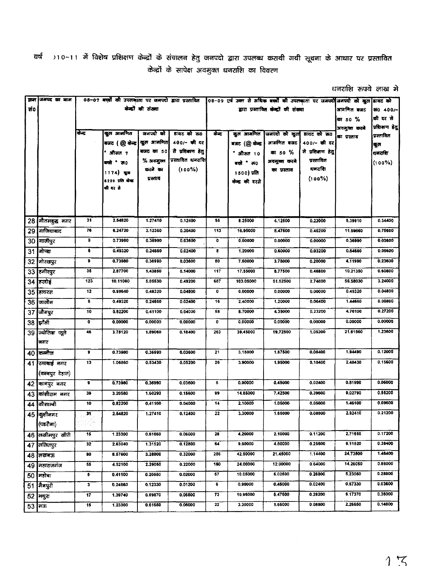)10–11 में विशेष प्रशिक्षण केन्द्रों के संचालन हेतु जनपदो द्वारा उपलब्ध करायी गयी सूचना के आधार पर प्रस्तावित वर्ष केन्द्रों के सापेक्ष अवमुक्त धनराशि का विवरण

| धनराशि रूपये लाख मे |  |  |
|---------------------|--|--|
|                     |  |  |

|      | क्रम जमपद का माम |           |                                |                     | 08-07 बच्चों की उपलब्धता पर जनपदो द्वारा प्रस्तावित (08-09 एवं उक्त से अधिक बच्चों की उपलब्धता पर जनपदों जनपदो को कुल डायट को |           |                 |                                       |                                  |              |                |
|------|------------------|-----------|--------------------------------|---------------------|-------------------------------------------------------------------------------------------------------------------------------|-----------|-----------------|---------------------------------------|----------------------------------|--------------|----------------|
| ਲੰ0  |                  |           |                                | केन्द्रों की संख्या |                                                                                                                               |           |                 | द्वारा प्रस्तावित केन्द्रों की संख्या |                                  | आगणित बजट    | あ0 400/-       |
|      |                  |           |                                |                     |                                                                                                                               |           |                 |                                       |                                  | का 50 %      | की दर से       |
|      |                  | केन्द्र   |                                |                     |                                                                                                                               |           |                 |                                       |                                  | अवमुक्त करने | प्रशिक्षण हेतु |
|      |                  |           | कुल आगणित                      | जनपदो को            | डायट को ऊ०                                                                                                                    | केन्द्र   |                 | कुल आमणित जिनपदो को कुल               | डायट को रू0                      | का प्रस्ताव  | प्रस्तावित     |
|      |                  |           | बजट (@ केन्द्र   कुल आनणित     | बजट का 50           | 400/- की दर<br>से प्रशिक्षण हेतु                                                                                              |           | बजट (@ केन्द्र  | आगणित बजट                             | 400/- की दर<br>से प्रशिक्षण हेतु |              | कुल            |
|      |                  |           | औसत 7                          | $%$ अवमुक्त         | प्रस्तावित धनराशि                                                                                                             |           | * औसत 10        | কা 50 %                               | प्रस्तावित                       |              | धनराशि         |
|      |                  |           | बक्ने क0                       | करने का             | $(100\%)$                                                                                                                     |           | बक्ने * रु 0    | अवमुक्त करने<br>का प्रस्ताव           | घनराशि                           |              | $(100\%)$      |
|      |                  |           | 1174) कुज                      | प्रस्ताव            |                                                                                                                               |           | 1500) प्रति     |                                       | $(100\%)$                        |              |                |
|      |                  |           | 8220 प्रति कोन्द्र<br>की बर से |                     |                                                                                                                               |           | केन्द्र की दरसे |                                       |                                  |              |                |
|      |                  |           |                                |                     |                                                                                                                               |           |                 |                                       |                                  |              |                |
|      |                  |           |                                |                     |                                                                                                                               |           |                 |                                       |                                  |              |                |
|      |                  | 31        |                                |                     |                                                                                                                               |           |                 |                                       |                                  |              |                |
|      | 28 गौतमबुद्ध नगर |           | 2.54820                        | 1.27410             | 0.12400                                                                                                                       | 55        | 8.25000         | 4.12500                               | 0.22000                          | 5.39910      | 0.34400        |
|      | 29 गाजियाबाद     | 78        | 8.24720                        | 3.12360             | 0.30400                                                                                                                       | 113       | 16.95000        | 8.47500                               | 0.45200                          | 11.59860     | 0.75600        |
| 30   | गाजीपुर          | 9         | 0.73980                        | 0.36990             | 0.03600                                                                                                                       | 0         | 0.00000         | 0.00000                               | 0.00000                          | 0.36990      | 0.03600        |
| 31   | मोण्डा           | 6         | 0.49320                        | 0.24660             | 0.02400                                                                                                                       | 8         | 1.20000         | 0.60000                               | 0.03200                          | 0.84660      | 0.06600        |
|      | 32 गोरखपुर       | 9         | 0.73980                        | 0.36990             | 0.03600                                                                                                                       | 50        | 7.50000         | 3.75000                               | 0.20000                          | 4.11990      | 0.23600        |
|      | 33 समीरपुर       | 35        | 2.87700                        | 1.43850             | 0.14000                                                                                                                       | 117       | 17.55000        | 8,77500                               | 0.46800                          | 10.21350     | 0.60800        |
|      | 34 हिरदोई        | 123       | 10.11060                       | 6.06530             | 0.49200                                                                                                                       | 687       | 103.05000       | 51.52500                              | 2.74800                          | 56,58030     | 3.24000        |
|      | 35 सियरस         | 12        | 0.98640                        | 0.49320             | 0.04800                                                                                                                       | 0         | 0.00000         | 0,00000                               | 0.00000                          | 0.49320      | 0.04800        |
|      | 36 जिलौन         | 6         | 0.49320                        | 0.24660             | 0.02400                                                                                                                       | 16        | 2.40000         | 1.20000                               | 0.06400                          | 1.44660      | 0.08800        |
| 37   | जिलपुर           | 10        | 0.82200                        | 0.41100             | 0.04000                                                                                                                       | 58        | 8.70000         | 4.35000                               | 0.23200                          | 4.76100      | 0.27200        |
|      | <b>38 झोली</b>   | $\bullet$ | 0.00000                        | 0.00000             | 0.00000                                                                                                                       | $\bullet$ | 0.00000         | 0.00000                               | 0,00000                          | 0.00000      | 0.00000        |
| 39   | ज्योतिबा फूले    | 46        | 3.78120                        | 1.89060             | 0.18400                                                                                                                       | 263       | 39,45000        | 19.72500                              | 1.05200                          | 21.61560     | 1.23600        |
|      | नगर              |           |                                |                     |                                                                                                                               |           |                 |                                       |                                  |              |                |
| 40   | कब्जैल           | 9         | 0.73980                        | 0.36990             | 0.03600                                                                                                                       | 21        | 3.15000         | 1.57500                               | 0.08400                          | 1.94490      | 0.12000        |
|      | 41 रमाबाई नगर    | 13        | 1.06860                        | 0.53430             | 0.05200                                                                                                                       | 26        | 3.90000         | 1.95000                               | 0.10400                          | 2.48430      | 0.15600        |
|      | (कानपुर देहात)   |           |                                |                     |                                                                                                                               |           |                 |                                       |                                  |              |                |
| 42   | कानपुर नगर       | 9         | 0.73980                        | 0.36990             | 0.03600                                                                                                                       | 6         | 0.90000         | 0.45000                               | 0.02400                          | 0.81990      | 0.06000        |
| 43   | कांशीराम नगर     | 39        | 3.20580                        | 1.60290             | 0.15600                                                                                                                       | 99        | 14.85000        | 7.42500                               | 0.39600                          | 9.02790      | 0.55200        |
| 44   | कौशाम्बी         | 10        | 0.82200                        | 0.41100             | 0.04000                                                                                                                       | 14        | 2.10000         | 1.05000                               | 0.05600                          | 1.46100      | 0.09600        |
|      | 45 कुशीनगर       | 31        | 2.54820                        | 1.27410             | 0.12400                                                                                                                       | 22        | 3.30000         | 1.65000                               | 0.08800                          | 2.92410      | 0.21200        |
|      | (पडरीना)         |           |                                |                     |                                                                                                                               |           |                 |                                       |                                  |              |                |
| 46 I | लखीमपुर खीरी     | 15        | 1.23300                        | 0.61650             | 0.06000                                                                                                                       | 28        | 4.20000         | 2.10000                               | 0.11200                          | 2.71650      | 0.17200        |
| 47   | ललितपुर          | 32        | 2.63040                        | 1.31520             | 0.12800                                                                                                                       | 64        | 9.60000         | 4.80000                               | 0.25600                          | 6.11520      | 0.38400        |
| 48   | तखनऊ             | 80        | 6.57600                        | 3.28800             | 0.32000                                                                                                                       | 286       | 42.90000        | 21.45000                              | 1.14400                          | 24.73800     | 1.46400        |
| 49   | महाराजगंज        | 55        | 4.52100                        | 2.26050             | 0.22000                                                                                                                       | 180       | 24.00000        | 12.00000                              | 0.64000                          | 14.26050     | 0.86000        |
| 50   | महोबा            | 5         | 0.41100                        | 0.20550             | 0.02000                                                                                                                       | 67        | 10.05000        | 5.02500                               | 0.26800                          | 5.23050      | 0.28800        |
| 51   | मैनपुरी          | 3         | 0.24660                        | 0.12330             | 0.01200                                                                                                                       | 6         | 0.90000         | 0.45000                               | 0.02400                          | 0.57330      | 0.03600        |
| 52   | मधुरा            | 17        | 1.39740                        | 0.69870             | 0.06800                                                                                                                       | 73        | 10.95000        | 5.47600                               | 0.29200                          | 6.17370      | 0.36000        |
| 53   | मऊ               | 15        | 1.23300                        | 0.61650             | 0.06000                                                                                                                       | 22        | 3.30000         | 1.65000                               | 0.08800                          | 2.26650      | 0.14800        |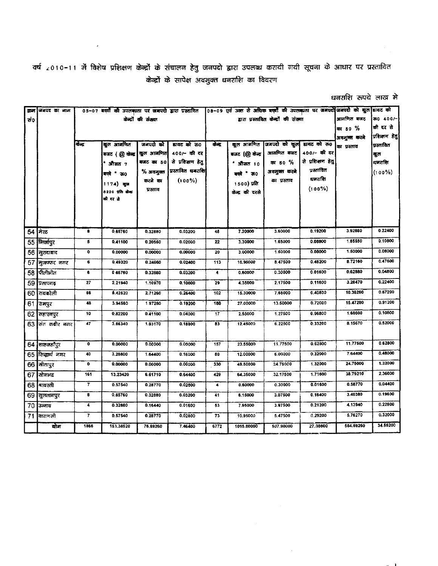वर्ष 2010-11 में विशेष प्रशिक्षण केन्द्रों के संचालन हेतु जनपदो द्वारा उपलब्ध करायी गयी सूचना के आधार पर प्रस्तावित केन्द्रों के सापेक्ष अवमुक्त धनराशि का विवरण

| धनराशि रुपये लाख मे |  |  |  |
|---------------------|--|--|--|
|---------------------|--|--|--|

|      | क्रम जनपद का नाम |                         |                |             | 05-07 बच्चों की उपलब्धता पर जनपदो द्वारा प्रस्तादित 08-09 एवं उक्त से अधिक बच्चों की उपलब्धता पर जनपदो जनपदो को कुल डायट को |                 |                 |                          |                      |              |              |
|------|------------------|-------------------------|----------------|-------------|-----------------------------------------------------------------------------------------------------------------------------|-----------------|-----------------|--------------------------|----------------------|--------------|--------------|
| ੜਾਂ0 |                  | केन्द्रों की संख्या     |                |             | द्वारा प्रस्तावित केन्द्रों की संख्या                                                                                       |                 |                 | आगणित बजट                | ऊ० 400/-             |              |              |
|      |                  |                         |                |             |                                                                                                                             |                 |                 |                          | का 50 %              | की दर से     |              |
|      |                  |                         |                |             |                                                                                                                             |                 |                 |                          |                      | अवमुक्त करने | प्रशिशण डेतु |
|      |                  | केन्द्र                 | कुल आगणित      | जनपदो को    | डायट को ऊ0                                                                                                                  | केन्द्र         |                 | कूल आंगणित जिनपदो को कुल | हायट को रू0          | का प्रस्ताव  | प्रस्तावित   |
|      |                  |                         | बजट (@ केन्द्र | कुल आमणित   | 400/- की दर                                                                                                                 |                 | बजट (@ केन्द्र  | अागणित बजट               | 400/- की दर          |              | कुल          |
|      |                  |                         | औसत $\tau$     | बजट का 50   | से प्रशिक्षण हेतु                                                                                                           |                 | * औसत 10        | का 50 %                  | से प्रशिक्षण हेतु    |              | धनराशि       |
|      |                  |                         | बच्चे * ऊ0     | $%$ अवमुक्त | प्रस्तावित धबराशि                                                                                                           |                 | बस्बे * ऊ0      | अवमुक्त करने             | प्रस्तावित<br>धनराशि |              | $(100\%)$    |
|      |                  |                         | 1174) बूज      | करने का     | $(100\%)$                                                                                                                   |                 | 1500) प्रति     | का ग्रस्ताव              |                      |              |              |
|      |                  |                         | 8220 प्रति खेळ | प्रस्ताव    |                                                                                                                             |                 | केन्द्र की दरसे |                          | $(100\%)$            |              |              |
|      |                  |                         | की दर से       |             |                                                                                                                             |                 |                 |                          |                      |              |              |
|      |                  |                         |                |             |                                                                                                                             |                 |                 |                          |                      |              |              |
|      |                  |                         |                |             |                                                                                                                             |                 |                 |                          |                      |              |              |
|      | 54 मिरठ          | 8                       | 0.65760        | 0.32880     | 0.03200                                                                                                                     | 48              | 7.20000         | 3.60000                  | 0.19200              | 3.92880      | 0.22400      |
|      | 55 मिर्जापुर     | 5                       | 0.41100        | 0.20550     | 0.02000                                                                                                                     | 22              | 3.30000         | 1.65000                  | 0.08800              | 1.85550      | 0.10800      |
| 56   | मुरादाबाद        | 0                       | 0.00000        | 0.00000     | 0.00000                                                                                                                     | 20 <sup>2</sup> | 3.00000         | 1.50000                  | 0.08000              | 1.50000      | 0.08000      |
| 57   | मुजफ्फर नगर      | 6                       | 0.49320        | 0.24660     | 0.02400                                                                                                                     | 113             | 16,95000        | 8.47500                  | 0.45200              | 8.72160      | 0.47600      |
| 58   | ∫पीलीभीत         | 8                       | 0 65760        | 0.32880     | 0.03200                                                                                                                     | 4               | 0.60000         | 0.30000                  | 0.01600              | 0.62880      | 0.04800      |
| 59   | प्रतापगढ़        | 27                      | 2.21940        | 1.10970     | 0.10800                                                                                                                     | 29              | 4.35000         | 2.17500                  | 0.11600              | 3.28470      | 0.22400      |
|      | 60 यवरली         | 66                      | 5,42520        | 2.71260     | 0.26400                                                                                                                     | 102             | 15.30000        | 7.65000                  | 0.40800              | 10.36260     | 0.67200      |
| 61   | रामपुर           | 48                      | 3,94560        | 1.97280     | 0.19200                                                                                                                     | 180             | 27.00000        | 13.50000                 | 0.72000              | 15.47280     | 0.91200      |
| 62   | सहारनपुर         | 10                      | 0.82200        | 0.41100     | 0.04000                                                                                                                     | 17              | 2,55000         | 1.27500                  | 0.06800              | 1,68600      | 0.10800      |
|      | 63 संत कबीर नगर  | 47                      | 3.86340        | 1.93170     | 0.18800                                                                                                                     | 83              | 12.45000        | 6.22500                  | 0.33200              | 8.15670      | 0.52000      |
|      |                  |                         |                |             |                                                                                                                             |                 |                 |                          |                      |              |              |
|      | 64 शास्कर्तपुर   | $\bullet$               | 0.00000        | 0.00000     | 0.00000                                                                                                                     | 157             | 23.55000        | 11.77500                 | 0.62800              | 11.77500     | 0.62800      |
| 65   | सिद्धार्थ नगर    | 40                      | 3,28800        | 1.64400     | 0.16000                                                                                                                     | 80              | 12.00000        | 6.00000                  | 0.32000              | 7.64400      | 0.48000      |
|      | $66$ सीतापुर     | $\bullet$               | 0.00000        | 0.00000     | 0.00000                                                                                                                     | 330             | 49.50000        | 24.76000                 | 1.32000              | 24.75000     | 1.32000      |
|      | $67$ सोनभद्र     | 161                     | 13.23420       | 6.61710     | 0.64400                                                                                                                     | 429             | 64,35000        | 32.17500                 | 1.71600              | 38.79210     | 2.36000      |
| 68   | श्रावस्ती        | $\overline{\mathbf{r}}$ | 0.57540        | 0.28770     | 0.02800                                                                                                                     | 4               | 0.60000         | 0.30000                  | 0.01600              | 0.58770      | 0.04400      |
| 69 I | सुलतानपुर        | 8                       | 0.65760        | 0.32880     | 0.03200                                                                                                                     | 41              | 6.15000         | 3.07500                  | 0.16400              | 3.40380      | 0.19600      |
| 70   | उन्नाव           | 4                       | 0.32880        | 0.16440     | 0.01600                                                                                                                     | 53              | 7.95000         | 3.97500                  | 0.21200              | 4.13940      | 0.22800      |
| 71   | वाराणसी          | $\mathbf{7}$            | 0.57540        | 0.28770     | 0.02800                                                                                                                     | 73              | 10.95000        | 5.47500                  | 0.29200              | 5.76270      | 0.32000      |
|      | योग              | 1866                    | 153,38520      | 76,69260    | 7.46400                                                                                                                     | 6772            | 1015.80000      | 507.90000                | 27.08800             | 584.59260    | 34.55200     |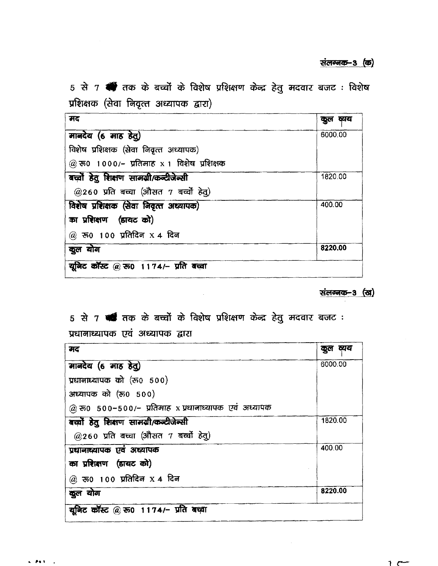5 से 7 \* तक के बच्चों के विशेष प्रशिक्षण केन्द्र हेतु मदवार बजट: विशेष प्रशिक्षक (सेवा निवृत्त अध्यापक द्वारा)

| मद                                          | कुल व्यय |  |  |
|---------------------------------------------|----------|--|--|
| मानदेय (6 माह हेतु)                         | 6000.00  |  |  |
| विशेष प्रशिक्षक (सेवा निवृत्त अध्यापक)      |          |  |  |
| $@$ रुo 1000/- प्रतिमाह x 1 विशेष प्रशिक्षक |          |  |  |
| बच्चों हेतु शिक्षण सामग्री/कन्टीजेन्सी      | 1820.00  |  |  |
| $@260$ प्रति बच्चा (औसत 7 बच्चों हेतु)      |          |  |  |
| विशेष प्रशिक्षक (सेवा निवृत्त अध्यापक)      | 400.00   |  |  |
| का प्रशिक्षण (डायट को)                      |          |  |  |
| $@$ रुo 100 प्रतिदिन X 4 दिन                |          |  |  |
| कूल योग                                     | 8220.00  |  |  |
| यूनिट कॉस्ट @ रु0 1174/- प्रति बच्चा        |          |  |  |

संलग्नक-3 (ख)

1 ሮ

# 5 से 7 से तक के बच्चों के विशेष प्रशिक्षण केन्द्र हेतु मदवार बजट:

 $\bar{z}$ 

प्रधानाध्यापक एवं अध्यापक द्वारा

| मद                                                   | ਕਾਧ<br>कुल |  |
|------------------------------------------------------|------------|--|
| मानदेय (6 माह हेतु)                                  | 6000.00    |  |
| प्रधानाध्यापक को (रू0 500)                           |            |  |
| अध्यापक को (रु0 500)                                 |            |  |
| @ रू० 500–500/– प्रतिमाह x प्रधानाध्यापक एवं अध्यापक |            |  |
| बच्चों हेतु शिक्षण सामग्री/कन्दीजेन्सी               | 1820.00    |  |
| @260 प्रति बच्चा (औसत 7 बच्चों हेतु)                 |            |  |
| प्रधानाध्यापक एवं अध्यापक                            | 400.00     |  |
| का प्रशिक्षण (डायट को)                               |            |  |
| @ रु0 100 प्रतिदिन X 4 दिन                           |            |  |
| कुल योग                                              | 8220.00    |  |
| यूनिट कॉस्ट @ रु0 1174/- प्रति बच्चा                 |            |  |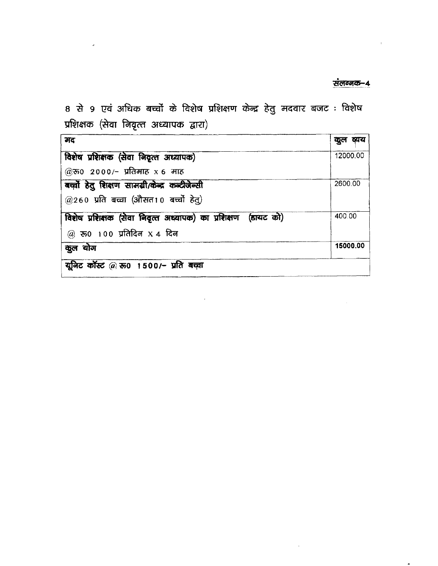### संलग्नक-4

 $\hat{\mathcal{A}}$ 

 $\sim$ 

 $\sim 1$ 

8 से 9 एवं अधिक बच्चों के विशेष प्रशिक्षण केन्द्र हेतु मदवार बजट : विशेष प्रशिक्षक (सेवा निवृत्त अध्यापक द्वारा)

 $\hat{\mathbf{z}}$ 

| मद                                                            | व्यय<br>कुत |  |
|---------------------------------------------------------------|-------------|--|
| विशेष प्रशिक्षक (सेवा निवृत्त अध्यापक)                        | 12000.00    |  |
| @रु0 2000/- प्रतिमाह x 6 माह                                  |             |  |
| बच्चों हेतु शिक्षण सामग्री/केन्द्र कन्टीजेन्सी                | 2600.00     |  |
| $(2260)$ प्रति बच्चा (औसत10 बच्चों हेतु)                      |             |  |
| विशेष प्रशिक्षक (सेवा निदृत्त अध्यापक) का प्रशिक्षण (डायट को) | 400.00      |  |
| $@$ रुo 100 प्रतिदिन X 4 दिन                                  |             |  |
| कूल योग                                                       | 15000.00    |  |
| यूनिट कॉस्ट @ रू0 1500/- प्रति बच्चा                          |             |  |

 $\mathcal{L}^{\text{max}}_{\text{max}}$  and  $\mathcal{L}^{\text{max}}_{\text{max}}$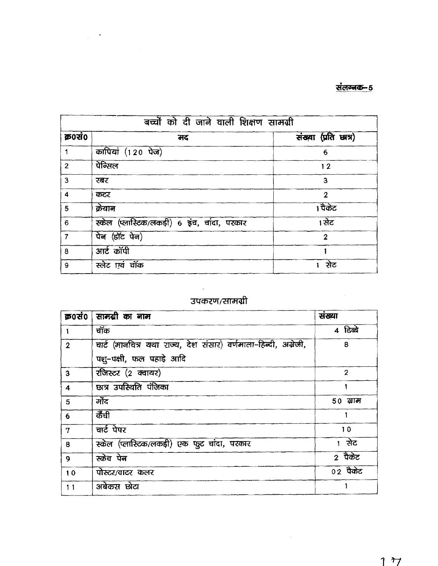## <u>संलग्नक-5</u>

| बच्चों को दी जाने वाली शिक्षण सामग्री |                                             |                      |  |  |
|---------------------------------------|---------------------------------------------|----------------------|--|--|
| क्र0सं0                               | मद                                          | संख्या (प्रति छात्र) |  |  |
| 1                                     | कापियां (120 पेज)                           | 6                    |  |  |
| $\overline{2}$                        | पेन्सिल                                     | 12                   |  |  |
| $\mathbf{3}$                          | रबर                                         | 3                    |  |  |
| $\overline{\bf{4}}$                   | कटर                                         | $\overline{2}$       |  |  |
| 5                                     | क्रेयान                                     | 1 पैकेट              |  |  |
| $\boldsymbol{6}$                      | स्केल (प्लास्टिक/लकड़ी) 6 इंच, चांदा, परकार | 1 सेट                |  |  |
| $\overline{7}$                        | पेन (डॉट पेन)                               | $\overline{2}$       |  |  |
| 8                                     | आर्ट कॉपी                                   |                      |  |  |
| 9                                     | स्लेट एवं चॉक                               | ਸ਼ੇਟ                 |  |  |

# उपकरण/सामग्री

 $\mathcal{A}^{\text{max}}_{\text{max}}$ 

| क्र0सं0 $ $    | सामग्री का नाम                                                  | संख्या         |
|----------------|-----------------------------------------------------------------|----------------|
|                | चॉक                                                             | 4 डिब्बे       |
| $\overline{2}$ | चार्ट (मानचित्र यथा राज्य, देश संसार) वर्णमाला-हिन्दी, अग्रेजी, | 8              |
|                | पशु-पक्षी, फल पहाड़े आदि                                        |                |
| $\mathbf{3}$   | रजिस्टर (2 क्वायर)                                              | $\overline{2}$ |
| $\overline{4}$ | छात्र उपस्थिति पंजिका                                           |                |
| 5              | र्गोद                                                           | 50 ग्राम       |
| 6              | कैंची                                                           |                |
| $\mathbf 7$    | चार्ट पेपर                                                      | 10             |
| 8              | स्केल (प्लास्टिक/लकड़ी) एक फुट चांदा, परकार                     | 1 सेट          |
| 9              | स्केच पेन                                                       | 2 पैकेट        |
| 10             | पोस्टर/वाटर कलर                                                 | $02$ पैकेट     |
| 11             | अबेकस छोटा                                                      |                |

 $\sim 10^{-11}$